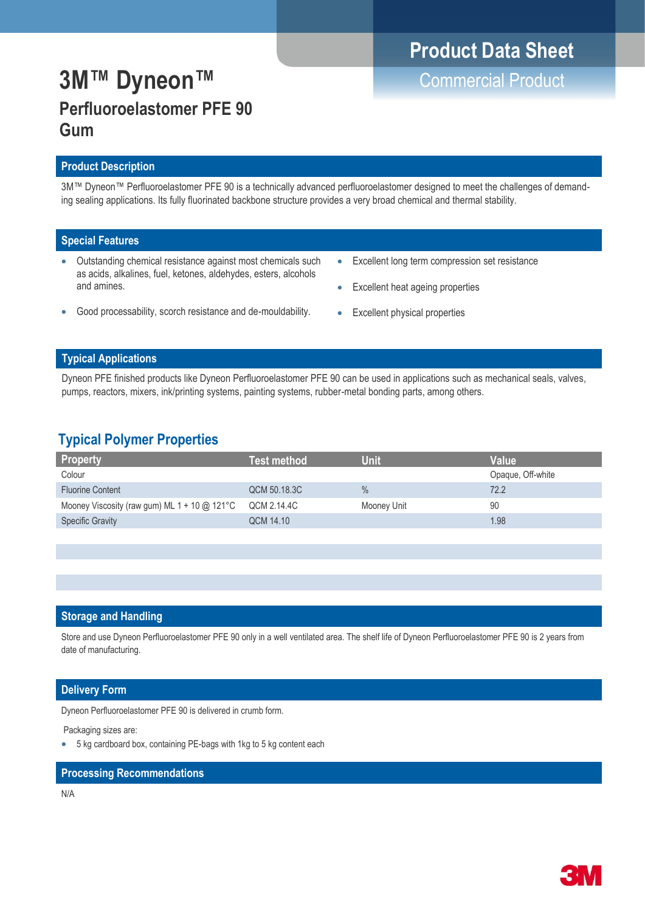## **Product Data Sheet**

# **3M™ Dyneon™** Commercial Product **Perfluoroelastomer PFE 90 Gum**

### **Product Description**

3M™ Dyneon™ Perfluoroelastomer PFE 90 is a technically advanced perfluoroelastomer designed to meet the challenges of demanding sealing applications. Its fully fluorinated backbone structure provides a very broad chemical and thermal stability.

### **Special Features**

- Outstanding chemical resistance against most chemicals such as acids, alkalines, fuel, ketones, aldehydes, esters, alcohols and amines.
- Excellent long term compression set resistance
- Excellent heat ageing properties
- Good processability, scorch resistance and de-mouldability.
- **Excellent physical properties**

### **Typical Applications**

Dyneon PFE finished products like Dyneon Perfluoroelastomer PFE 90 can be used in applications such as mechanical seals, valves, pumps, reactors, mixers, ink/printing systems, painting systems, rubber-metal bonding parts, among others.

## **Typical Polymer Properties**

| <b>Property</b>                              | Test method  | Unit        | Value             |
|----------------------------------------------|--------------|-------------|-------------------|
| Colour                                       |              |             | Opaque, Off-white |
| <b>Fluorine Content</b>                      | QCM 50.18.3C | $\%$        | 72.2              |
| Mooney Viscosity (raw gum) ML 1 + 10 @ 121°C | QCM 2.14.4C  | Mooney Unit | 90                |
| <b>Specific Gravity</b>                      | QCM 14.10    |             | 1.98              |

### **Storage and Handling**

Store and use Dyneon Perfluoroelastomer PFE 90 only in a well ventilated area. The shelf life of Dyneon Perfluoroelastomer PFE 90 is 2 years from date of manufacturing.

### **Delivery Form**

Dyneon Perfluoroelastomer PFE 90 is delivered in crumb form.

Packaging sizes are:

• 5 kg cardboard box, containing PE-bags with 1kg to 5 kg content each

#### **Processing Recommendations**

N/A

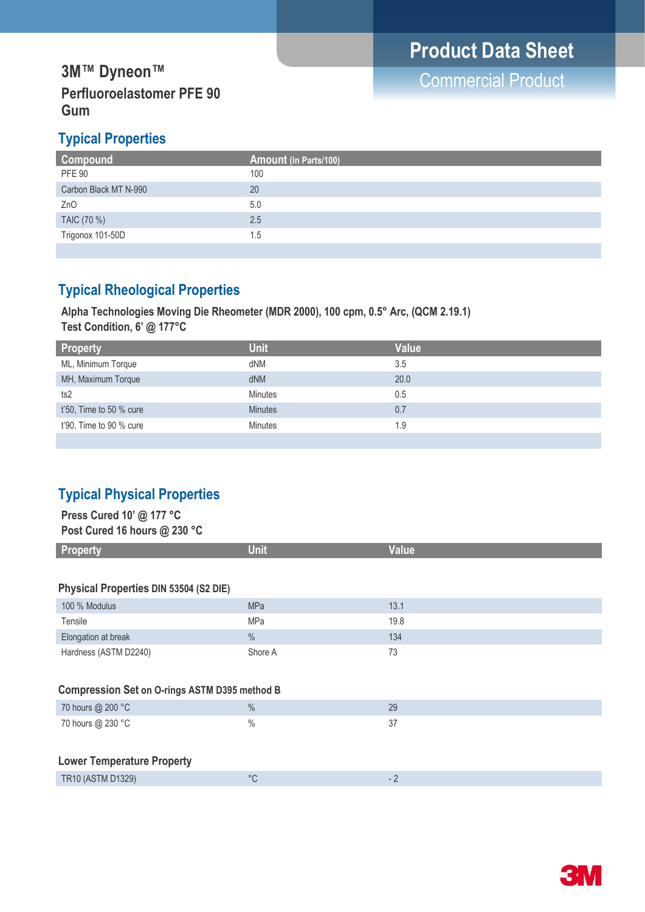## **3M™ Dyneon™**<br> **3M™ Dyneon™** PPP 22 **Perfluoroelastomer PFE 90 Gum**

## **Typical Properties**

| Compound              | <b>Amount (in Parts/100)</b> |
|-----------------------|------------------------------|
| <b>PFE 90</b>         | 100                          |
| Carbon Black MT N-990 | 20                           |
| Z <sub>n</sub> O      | 5.0                          |
| TAIC (70 %)           | 2.5                          |
| Trigonox 101-50D      | 1.5                          |
|                       |                              |

## **Typical Rheological Properties**

**Alpha Technologies Moving Die Rheometer (MDR 2000), 100 cpm, 0.5° Arc, (QCM 2.19.1) Test Condition, 6' @ 177°C Test Condition, 6' @ 177°C**

| <b>Property</b>            | <b>Unit</b>    | <b>Value</b> |
|----------------------------|----------------|--------------|
| ML, Minimum Torque         | dNM            | 3.5          |
| MH, Maximum Torque         | dNM            | 20.0         |
| ts2                        | <b>Minutes</b> | 0.5          |
| $t'50$ , Time to 50 % cure | <b>Minutes</b> | 0.7          |
| t'90, Time to 90 % cure    | <b>Minutes</b> | 1.9          |
|                            |                |              |

## **Typical Physical Properties**

| Press Cured 10' @ 177 °C<br>Post Cured 16 hours @ 230 °C |               |              |  |  |
|----------------------------------------------------------|---------------|--------------|--|--|
| <b>Property</b>                                          | <b>Unit</b>   | <b>Value</b> |  |  |
|                                                          |               |              |  |  |
| Physical Properties DIN 53504 (S2 DIE)                   |               |              |  |  |
| 100 % Modulus                                            | <b>MPa</b>    | 13.1         |  |  |
| Tensile                                                  | <b>MPa</b>    | 19.8         |  |  |
| Elongation at break                                      | $\%$          | 134          |  |  |
| Hardness (ASTM D2240)                                    | Shore A       | 73           |  |  |
|                                                          |               |              |  |  |
| <b>Compression Set on O-rings ASTM D395 method B</b>     |               |              |  |  |
| 70 hours @ 200 °C                                        | $\%$          | 29           |  |  |
| 70 hours @ 230 °C                                        | $\frac{0}{0}$ | 37           |  |  |
|                                                          |               |              |  |  |
| <b>Lower Temperature Property</b>                        |               |              |  |  |
| TR10 (ASTM D1329)                                        | $^{\circ}$ C  | $-2$         |  |  |